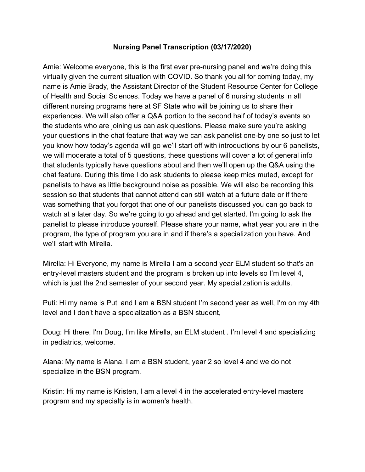## **Nursing Panel Transcription (03/17/2020)**

Amie: Welcome everyone, this is the first ever pre-nursing panel and we're doing this virtually given the current situation with COVID. So thank you all for coming today, my name is Amie Brady, the Assistant Director of the Student Resource Center for College of Health and Social Sciences. Today we have a panel of 6 nursing students in all different nursing programs here at SF State who will be joining us to share their experiences. We will also offer a Q&A portion to the second half of today's events so the students who are joining us can ask questions. Please make sure you're asking your questions in the chat feature that way we can ask panelist one-by one so just to let you know how today's agenda will go we'll start off with introductions by our 6 panelists, we will moderate a total of 5 questions, these questions will cover a lot of general info that students typically have questions about and then we'll open up the Q&A using the chat feature. During this time I do ask students to please keep mics muted, except for panelists to have as little background noise as possible. We will also be recording this session so that students that cannot attend can still watch at a future date or if there was something that you forgot that one of our panelists discussed you can go back to watch at a later day. So we're going to go ahead and get started. I'm going to ask the panelist to please introduce yourself. Please share your name, what year you are in the program, the type of program you are in and if there's a specialization you have. And we'll start with Mirella.

Mirella: Hi Everyone, my name is Mirella I am a second year ELM student so that's an entry-level masters student and the program is broken up into levels so I'm level 4, which is just the 2nd semester of your second year. My specialization is adults.

Puti: Hi my name is Puti and I am a BSN student I'm second year as well, I'm on my 4th level and I don't have a specialization as a BSN student,

Doug: Hi there, I'm Doug, I'm like Mirella, an ELM student . I'm level 4 and specializing in pediatrics, welcome.

Alana: My name is Alana, I am a BSN student, year 2 so level 4 and we do not specialize in the BSN program.

Kristin: Hi my name is Kristen, I am a level 4 in the accelerated entry-level masters program and my specialty is in women's health.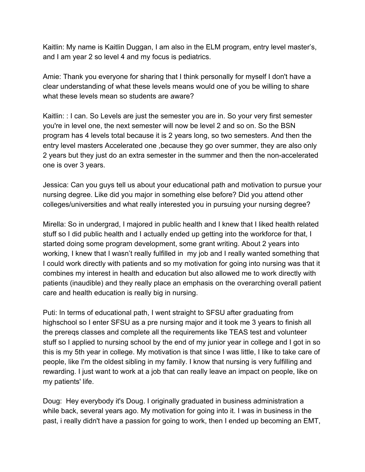Kaitlin: My name is Kaitlin Duggan, I am also in the ELM program, entry level master's, and I am year 2 so level 4 and my focus is pediatrics.

Amie: Thank you everyone for sharing that I think personally for myself I don't have a clear understanding of what these levels means would one of you be willing to share what these levels mean so students are aware?

Kaitlin: : I can. So Levels are just the semester you are in. So your very first semester you're in level one, the next semester will now be level 2 and so on. So the BSN program has 4 levels total because it is 2 years long, so two semesters. And then the entry level masters Accelerated one ,because they go over summer, they are also only 2 years but they just do an extra semester in the summer and then the non-accelerated one is over 3 years.

Jessica: Can you guys tell us about your educational path and motivation to pursue your nursing degree. Like did you major in something else before? Did you attend other colleges/universities and what really interested you in pursuing your nursing degree?

Mirella: So in undergrad, I majored in public health and I knew that I liked health related stuff so I did public health and I actually ended up getting into the workforce for that, I started doing some program development, some grant writing. About 2 years into working, I knew that I wasn't really fulfilled in my job and I really wanted something that I could work directly with patients and so my motivation for going into nursing was that it combines my interest in health and education but also allowed me to work directly with patients (inaudible) and they really place an emphasis on the overarching overall patient care and health education is really big in nursing.

Puti: In terms of educational path, I went straight to SFSU after graduating from highschool so I enter SFSU as a pre nursing major and it took me 3 years to finish all the prereqs classes and complete all the requirements like TEAS test and volunteer stuff so I applied to nursing school by the end of my junior year in college and I got in so this is my 5th year in college. My motivation is that since I was little, I like to take care of people, like I'm the oldest sibling in my family. I know that nursing is very fulfilling and rewarding. I just want to work at a job that can really leave an impact on people, like on my patients' life.

Doug: Hey everybody it's Doug. I originally graduated in business administration a while back, several years ago. My motivation for going into it. I was in business in the past, i really didn't have a passion for going to work, then I ended up becoming an EMT,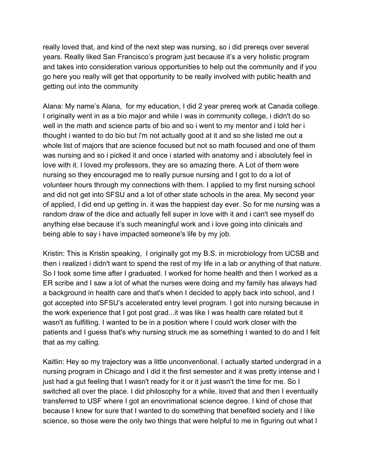really loved that, and kind of the next step was nursing, so i did prereqs over several years. Really liked San Francisco's program just because it's a very holistic program and takes into consideration various opportunities to help out the community and if you go here you really will get that opportunity to be really involved with public health and getting out into the community

Alana: My name's Alana, for my education, I did 2 year prereq work at Canada college. I originally went in as a bio major and while i was in community college, i didn't do so well in the math and science parts of bio and so i went to my mentor and i told her i thought i wanted to do bio but i'm not actually good at it and so she listed me out a whole list of majors that are science focused but not so math focused and one of them was nursing and so i picked it and once i started with anatomy and i absolutely feel in love with it. I loved my professors, they are so amazing there. A Lot of them were nursing so they encouraged me to really pursue nursing and I got to do a lot of volunteer hours through my connections with them. I applied to my first nursing school and did not get into SFSU and a lot of other state schools in the area. My second year of applied, I did end up getting in. it was the happiest day ever. So for me nursing was a random draw of the dice and actually fell super in love with it and i can't see myself do anything else because it's such meaningful work and i love going into clinicals and being able to say i have impacted someone's life by my job.

Kristin: This is Kristin speaking, I originally got my B.S. in microbiology from UCSB and then i realized i didn't want to spend the rest of my life in a lab or anything of that nature. So I took some time after I graduated. I worked for home health and then I worked as a ER scribe and I saw a lot of what the nurses were doing and my family has always had a background in health care and that's when I decided to apply back into school, and I got accepted into SFSU's accelerated entry level program. I got into nursing because in the work experience that I got post grad...it was like I was health care related but it wasn't as fulfilling. I wanted to be in a position where I could work closer with the patients and I guess that's why nursing struck me as something I wanted to do and I felt that as my calling.

Kaitlin: Hey so my trajectory was a little unconventional. I actually started undergrad in a nursing program in Chicago and I did it the first semester and it was pretty intense and I just had a gut feeling that I wasn't ready for it or it just wasn't the time for me. So I switched all over the place. I did philosophy for a while, loved that and then I eventually transferred to USF where I got an enovrimational science degree. I kind of chose that because I knew for sure that I wanted to do something that benefited society and I like science, so those were the only two things that were helpful to me in figuring out what I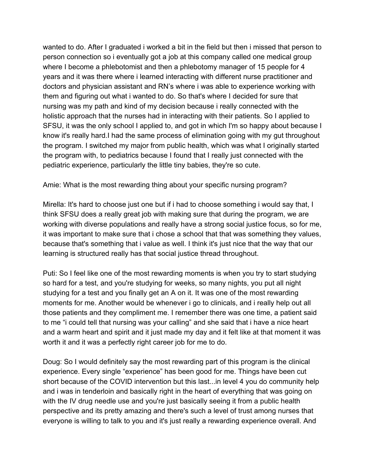wanted to do. After I graduated i worked a bit in the field but then i missed that person to person connection so i eventually got a job at this company called one medical group where I become a phlebotomist and then a phlebotomy manager of 15 people for 4 years and it was there where i learned interacting with different nurse practitioner and doctors and physician assistant and RN's where i was able to experience working with them and figuring out what i wanted to do. So that's where I decided for sure that nursing was my path and kind of my decision because i really connected with the holistic approach that the nurses had in interacting with their patients. So I applied to SFSU, it was the only school I applied to, and got in which I'm so happy about because I know it's really hard.I had the same process of elimination going with my gut throughout the program. I switched my major from public health, which was what I originally started the program with, to pediatrics because I found that I really just connected with the pediatric experience, particularly the little tiny babies, they're so cute.

Amie: What is the most rewarding thing about your specific nursing program?

Mirella: It's hard to choose just one but if i had to choose something i would say that, I think SFSU does a really great job with making sure that during the program, we are working with diverse populations and really have a strong social justice focus, so for me, it was important to make sure that i chose a school that that was something they values, because that's something that i value as well. I think it's just nice that the way that our learning is structured really has that social justice thread throughout.

Puti: So I feel like one of the most rewarding moments is when you try to start studying so hard for a test, and you're studying for weeks, so many nights, you put all night studying for a test and you finally get an A on it. It was one of the most rewarding moments for me. Another would be whenever i go to clinicals, and i really help out all those patients and they compliment me. I remember there was one time, a patient said to me "i could tell that nursing was your calling" and she said that i have a nice heart and a warm heart and spirit and it just made my day and it felt like at that moment it was worth it and it was a perfectly right career job for me to do.

Doug: So I would definitely say the most rewarding part of this program is the clinical experience. Every single "experience" has been good for me. Things have been cut short because of the COVID intervention but this last...in level 4 you do community help and i was in tenderloin and basically right in the heart of everything that was going on with the IV drug needle use and you're just basically seeing it from a public health perspective and its pretty amazing and there's such a level of trust among nurses that everyone is willing to talk to you and it's just really a rewarding experience overall. And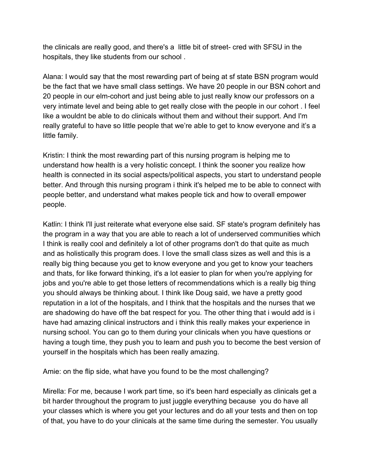the clinicals are really good, and there's a little bit of street- cred with SFSU in the hospitals, they like students from our school .

Alana: I would say that the most rewarding part of being at sf state BSN program would be the fact that we have small class settings. We have 20 people in our BSN cohort and 20 people in our elm-cohort and just being able to just really know our professors on a very intimate level and being able to get really close with the people in our cohort . I feel like a wouldnt be able to do clinicals without them and without their support. And I'm really grateful to have so little people that we're able to get to know everyone and it's a little family.

Kristin: I think the most rewarding part of this nursing program is helping me to understand how health is a very holistic concept. I think the sooner you realize how health is connected in its social aspects/political aspects, you start to understand people better. And through this nursing program i think it's helped me to be able to connect with people better, and understand what makes people tick and how to overall empower people.

Katlin: I think I'll just reiterate what everyone else said. SF state's program definitely has the program in a way that you are able to reach a lot of underserved communities which I think is really cool and definitely a lot of other programs don't do that quite as much and as holistically this program does. I love the small class sizes as well and this is a really big thing because you get to know everyone and you get to know your teachers and thats, for like forward thinking, it's a lot easier to plan for when you're applying for jobs and you're able to get those letters of recommendations which is a really big thing you should always be thinking about. I think like Doug said, we have a pretty good reputation in a lot of the hospitals, and I think that the hospitals and the nurses that we are shadowing do have off the bat respect for you. The other thing that i would add is i have had amazing clinical instructors and i think this really makes your experience in nursing school. You can go to them during your clinicals when you have questions or having a tough time, they push you to learn and push you to become the best version of yourself in the hospitals which has been really amazing.

Amie: on the flip side, what have you found to be the most challenging?

Mirella: For me, because I work part time, so it's been hard especially as clinicals get a bit harder throughout the program to just juggle everything because you do have all your classes which is where you get your lectures and do all your tests and then on top of that, you have to do your clinicals at the same time during the semester. You usually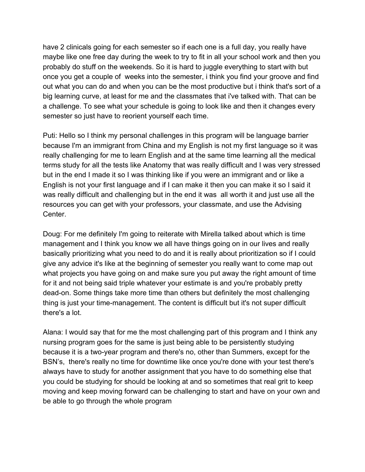have 2 clinicals going for each semester so if each one is a full day, you really have maybe like one free day during the week to try to fit in all your school work and then you probably do stuff on the weekends. So it is hard to juggle everything to start with but once you get a couple of weeks into the semester, i think you find your groove and find out what you can do and when you can be the most productive but i think that's sort of a big learning curve, at least for me and the classmates that i've talked with. That can be a challenge. To see what your schedule is going to look like and then it changes every semester so just have to reorient yourself each time.

Puti: Hello so I think my personal challenges in this program will be language barrier because I'm an immigrant from China and my English is not my first language so it was really challenging for me to learn English and at the same time learning all the medical terms study for all the tests like Anatomy that was really difficult and I was very stressed but in the end I made it so I was thinking like if you were an immigrant and or like a English is not your first language and if I can make it then you can make it so I said it was really difficult and challenging but in the end it was all worth it and just use all the resources you can get with your professors, your classmate, and use the Advising Center.

Doug: For me definitely I'm going to reiterate with Mirella talked about which is time management and I think you know we all have things going on in our lives and really basically prioritizing what you need to do and it is really about prioritization so if I could give any advice it's like at the beginning of semester you really want to come map out what projects you have going on and make sure you put away the right amount of time for it and not being said triple whatever your estimate is and you're probably pretty dead-on. Some things take more time than others but definitely the most challenging thing is just your time-management. The content is difficult but it's not super difficult there's a lot.

Alana: I would say that for me the most challenging part of this program and I think any nursing program goes for the same is just being able to be persistently studying because it is a two-year program and there's no, other than Summers, except for the BSN's, there's really no time for downtime like once you're done with your test there's always have to study for another assignment that you have to do something else that you could be studying for should be looking at and so sometimes that real grit to keep moving and keep moving forward can be challenging to start and have on your own and be able to go through the whole program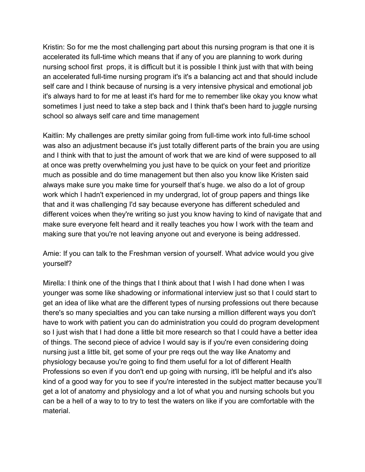Kristin: So for me the most challenging part about this nursing program is that one it is accelerated its full-time which means that if any of you are planning to work during nursing school first props, it is difficult but it is possible I think just with that with being an accelerated full-time nursing program it's it's a balancing act and that should include self care and I think because of nursing is a very intensive physical and emotional job it's always hard to for me at least it's hard for me to remember like okay you know what sometimes I just need to take a step back and I think that's been hard to juggle nursing school so always self care and time management

Kaitlin: My challenges are pretty similar going from full-time work into full-time school was also an adjustment because it's just totally different parts of the brain you are using and I think with that to just the amount of work that we are kind of were supposed to all at once was pretty overwhelming you just have to be quick on your feet and prioritize much as possible and do time management but then also you know like Kristen said always make sure you make time for yourself that's huge. we also do a lot of group work which I hadn't experienced in my undergrad, lot of group papers and things like that and it was challenging I'd say because everyone has different scheduled and different voices when they're writing so just you know having to kind of navigate that and make sure everyone felt heard and it really teaches you how I work with the team and making sure that you're not leaving anyone out and everyone is being addressed.

Amie: If you can talk to the Freshman version of yourself. What advice would you give yourself?

Mirella: I think one of the things that I think about that I wish I had done when I was younger was some like shadowing or informational interview just so that I could start to get an idea of like what are the different types of nursing professions out there because there's so many specialties and you can take nursing a million different ways you don't have to work with patient you can do administration you could do program development so I just wish that I had done a little bit more research so that I could have a better idea of things. The second piece of advice I would say is if you're even considering doing nursing just a little bit, get some of your pre reqs out the way like Anatomy and physiology because you're going to find them useful for a lot of different Health Professions so even if you don't end up going with nursing, it'll be helpful and it's also kind of a good way for you to see if you're interested in the subject matter because you'll get a lot of anatomy and physiology and a lot of what you and nursing schools but you can be a hell of a way to to try to test the waters on like if you are comfortable with the material.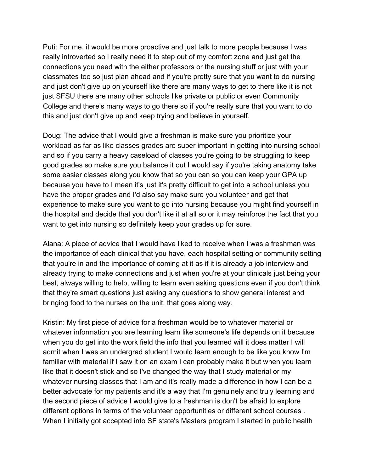Puti: For me, it would be more proactive and just talk to more people because I was really introverted so i really need it to step out of my comfort zone and just get the connections you need with the either professors or the nursing stuff or just with your classmates too so just plan ahead and if you're pretty sure that you want to do nursing and just don't give up on yourself like there are many ways to get to there like it is not just SFSU there are many other schools like private or public or even Community College and there's many ways to go there so if you're really sure that you want to do this and just don't give up and keep trying and believe in yourself.

Doug: The advice that I would give a freshman is make sure you prioritize your workload as far as like classes grades are super important in getting into nursing school and so if you carry a heavy caseload of classes you're going to be struggling to keep good grades so make sure you balance it out I would say if you're taking anatomy take some easier classes along you know that so you can so you can keep your GPA up because you have to I mean it's just it's pretty difficult to get into a school unless you have the proper grades and I'd also say make sure you volunteer and get that experience to make sure you want to go into nursing because you might find yourself in the hospital and decide that you don't like it at all so or it may reinforce the fact that you want to get into nursing so definitely keep your grades up for sure.

Alana: A piece of advice that I would have liked to receive when I was a freshman was the importance of each clinical that you have, each hospital setting or community setting that you're in and the importance of coming at it as if it is already a job interview and already trying to make connections and just when you're at your clinicals just being your best, always willing to help, willing to learn even asking questions even if you don't think that they're smart questions just asking any questions to show general interest and bringing food to the nurses on the unit, that goes along way.

Kristin: My first piece of advice for a freshman would be to whatever material or whatever information you are learning learn like someone's life depends on it because when you do get into the work field the info that you learned will it does matter I will admit when I was an undergrad student I would learn enough to be like you know I'm familiar with material if I saw it on an exam I can probably make it but when you learn like that it doesn't stick and so I've changed the way that I study material or my whatever nursing classes that I am and it's really made a difference in how I can be a better advocate for my patients and it's a way that I'm genuinely and truly learning and the second piece of advice I would give to a freshman is don't be afraid to explore different options in terms of the volunteer opportunities or different school courses . When I initially got accepted into SF state's Masters program I started in public health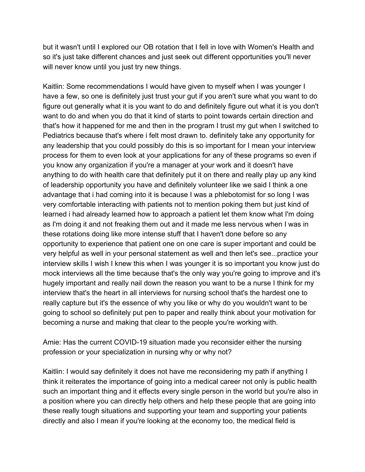but it wasn't until I explored our OB rotation that I fell in love with Women's Health and so it's just take different chances and just seek out different opportunities you'll never will never know until you just try new things.

Kaitlin: Some recommendations I would have given to myself when I was younger I have a few, so one is definitely just trust your gut if you aren't sure what you want to do figure out generally what it is you want to do and definitely figure out what it is you don't want to do and when you do that it kind of starts to point towards certain direction and that's how it happened for me and then in the program I trust my gut when I switched to Pediatrics because that's where i felt most drawn to. definitely take any opportunity for any leadership that you could possibly do this is so important for I mean your interview process for them to even look at your applications for any of these programs so even if you know any organization if you're a manager at your work and it doesn't have anything to do with health care that definitely put it on there and really play up any kind of leadership opportunity you have and definitely volunteer like we said I think a one advantage that i had coming into it is because I was a phlebotomist for so long I was very comfortable interacting with patients not to mention poking them but just kind of learned i had already learned how to approach a patient let them know what I'm doing as I'm doing it and not freaking them out and it made me less nervous when I was in these rotations doing like more intense stuff that I haven't done before so any opportunity to experience that patient one on one care is super important and could be very helpful as well in your personal statement as well and then let's see...practice your interview skills I wish I knew this when I was younger it is so important you know just do mock interviews all the time because that's the only way you're going to improve and it's hugely important and really nail down the reason you want to be a nurse I think for my interview that's the heart in all interviews for nursing school that's the hardest one to really capture but it's the essence of why you like or why do you wouldn't want to be going to school so definitely put pen to paper and really think about your motivation for becoming a nurse and making that clear to the people you're working with.

Amie: Has the current COVID-19 situation made you reconsider either the nursing profession or your specialization in nursing why or why not?

Kaitlin: I would say definitely it does not have me reconsidering my path if anything I think it reiterates the importance of going into a medical career not only is public health such an important thing and it effects every single person in the world but you're also in a position where you can directly help others and help these people that are going into these really tough situations and supporting your team and supporting your patients directly and also I mean if you're looking at the economy too, the medical field is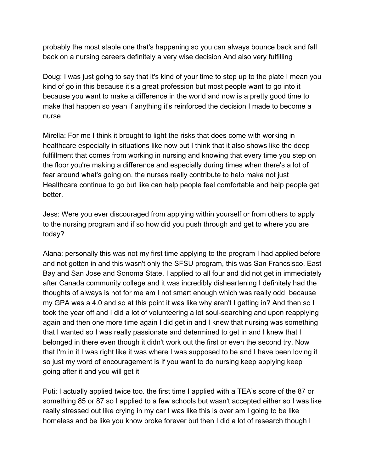probably the most stable one that's happening so you can always bounce back and fall back on a nursing careers definitely a very wise decision And also very fulfilling

Doug: I was just going to say that it's kind of your time to step up to the plate I mean you kind of go in this because it's a great profession but most people want to go into it because you want to make a difference in the world and now is a pretty good time to make that happen so yeah if anything it's reinforced the decision I made to become a nurse

Mirella: For me I think it brought to light the risks that does come with working in healthcare especially in situations like now but I think that it also shows like the deep fulfillment that comes from working in nursing and knowing that every time you step on the floor you're making a difference and especially during times when there's a lot of fear around what's going on, the nurses really contribute to help make not just Healthcare continue to go but like can help people feel comfortable and help people get better.

Jess: Were you ever discouraged from applying within yourself or from others to apply to the nursing program and if so how did you push through and get to where you are today?

Alana: personally this was not my first time applying to the program I had applied before and not gotten in and this wasn't only the SFSU program, this was San Francsisco, East Bay and San Jose and Sonoma State. I applied to all four and did not get in immediately after Canada community college and it was incredibly disheartening I definitely had the thoughts of always is not for me am I not smart enough which was really odd because my GPA was a 4.0 and so at this point it was like why aren't I getting in? And then so I took the year off and I did a lot of volunteering a lot soul-searching and upon reapplying again and then one more time again I did get in and I knew that nursing was something that I wanted so I was really passionate and determined to get in and I knew that I belonged in there even though it didn't work out the first or even the second try. Now that I'm in it I was right like it was where I was supposed to be and I have been loving it so just my word of encouragement is if you want to do nursing keep applying keep going after it and you will get it

Puti: I actually applied twice too. the first time I applied with a TEA's score of the 87 or something 85 or 87 so I applied to a few schools but wasn't accepted either so I was like really stressed out like crying in my car I was like this is over am I going to be like homeless and be like you know broke forever but then I did a lot of research though I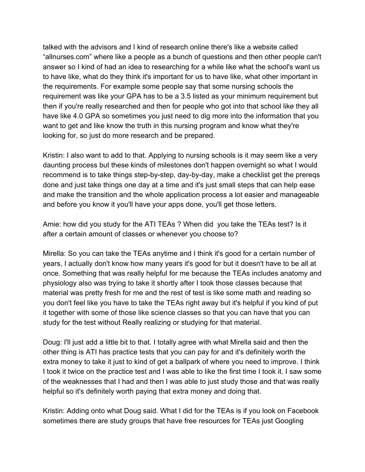talked with the advisors and I kind of research online there's like a website called "allnurses.com" where like a people as a bunch of questions and then other people can't answer so I kind of had an idea to researching for a while like what the school's want us to have like, what do they think it's important for us to have like, what other important in the requirements. For example some people say that some nursing schools the requirement was like your GPA has to be a 3.5 listed as your minimum requirement but then if you're really researched and then for people who got into that school like they all have like 4.0 GPA so sometimes you just need to dig more into the information that you want to get and like know the truth in this nursing program and know what they're looking for, so just do more research and be prepared.

Kristin: I also want to add to that. Applying to nursing schools is it may seem like a very daunting process but these kinds of milestones don't happen overnight so what I would recommend is to take things step-by-step, day-by-day, make a checklist get the prereqs done and just take things one day at a time and it's just small steps that can help ease and make the transition and the whole application process a lot easier and manageable and before you know it you'll have your apps done, you'll get those letters.

Amie: how did you study for the ATI TEAs ? When did you take the TEAs test? Is it after a certain amount of classes or whenever you choose to?

Mirella: So you can take the TEAs anytime and I think it's good for a certain number of years, I actually don't know how many years it's good for but it doesn't have to be all at once. Something that was really helpful for me because the TEAs includes anatomy and physiology also was trying to take it shortly after I took those classes because that material was pretty fresh for me and the rest of test is like some math and reading so you don't feel like you have to take the TEAs right away but it's helpful if you kind of put it together with some of those like science classes so that you can have that you can study for the test without Really realizing or studying for that material.

Doug: I'll just add a little bit to that. I totally agree with what Mirella said and then the other thing is ATI has practice tests that you can pay for and it's definitely worth the extra money to take it just to kind of get a ballpark of where you need to improve. I think I took it twice on the practice test and I was able to like the first time I took it. I saw some of the weaknesses that I had and then I was able to just study those and that was really helpful so it's definitely worth paying that extra money and doing that.

Kristin: Adding onto what Doug said. What I did for the TEAs is if you look on Facebook sometimes there are study groups that have free resources for TEAs just Googling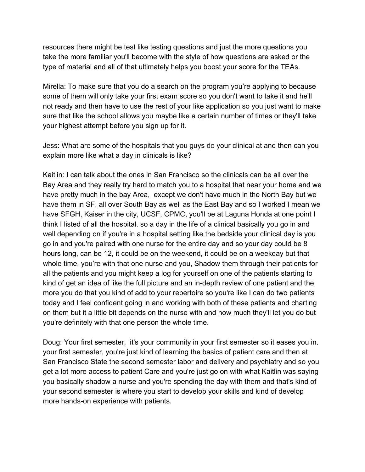resources there might be test like testing questions and just the more questions you take the more familiar you'll become with the style of how questions are asked or the type of material and all of that ultimately helps you boost your score for the TEAs.

Mirella: To make sure that you do a search on the program you're applying to because some of them will only take your first exam score so you don't want to take it and he'll not ready and then have to use the rest of your like application so you just want to make sure that like the school allows you maybe like a certain number of times or they'll take your highest attempt before you sign up for it.

Jess: What are some of the hospitals that you guys do your clinical at and then can you explain more like what a day in clinicals is like?

Kaitlin: I can talk about the ones in San Francisco so the clinicals can be all over the Bay Area and they really try hard to match you to a hospital that near your home and we have pretty much in the bay Area, except we don't have much in the North Bay but we have them in SF, all over South Bay as well as the East Bay and so I worked I mean we have SFGH, Kaiser in the city, UCSF, CPMC, you'll be at Laguna Honda at one point I think I listed of all the hospital. so a day in the life of a clinical basically you go in and well depending on if you're in a hospital setting like the bedside your clinical day is you go in and you're paired with one nurse for the entire day and so your day could be 8 hours long, can be 12, it could be on the weekend, it could be on a weekday but that whole time, you're with that one nurse and you, Shadow them through their patients for all the patients and you might keep a log for yourself on one of the patients starting to kind of get an idea of like the full picture and an in-depth review of one patient and the more you do that you kind of add to your repertoire so you're like I can do two patients today and I feel confident going in and working with both of these patients and charting on them but it a little bit depends on the nurse with and how much they'll let you do but you're definitely with that one person the whole time.

Doug: Your first semester, it's your community in your first semester so it eases you in. your first semester, you're just kind of learning the basics of patient care and then at San Francisco State the second semester labor and delivery and psychiatry and so you get a lot more access to patient Care and you're just go on with what Kaitlin was saying you basically shadow a nurse and you're spending the day with them and that's kind of your second semester is where you start to develop your skills and kind of develop more hands-on experience with patients.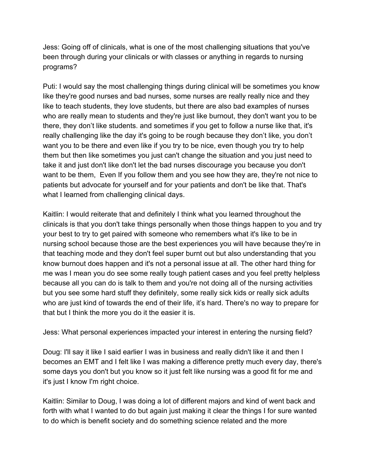Jess: Going off of clinicals, what is one of the most challenging situations that you've been through during your clinicals or with classes or anything in regards to nursing programs?

Puti: I would say the most challenging things during clinical will be sometimes you know like they're good nurses and bad nurses, some nurses are really really nice and they like to teach students, they love students, but there are also bad examples of nurses who are really mean to students and they're just like burnout, they don't want you to be there, they don't like students. and sometimes if you get to follow a nurse like that, it's really challenging like the day it's going to be rough because they don't like, you don't want you to be there and even like if you try to be nice, even though you try to help them but then like sometimes you just can't change the situation and you just need to take it and just don't like don't let the bad nurses discourage you because you don't want to be them, Even If you follow them and you see how they are, they're not nice to patients but advocate for yourself and for your patients and don't be like that. That's what I learned from challenging clinical days.

Kaitlin: I would reiterate that and definitely I think what you learned throughout the clinicals is that you don't take things personally when those things happen to you and try your best to try to get paired with someone who remembers what it's like to be in nursing school because those are the best experiences you will have because they're in that teaching mode and they don't feel super burnt out but also understanding that you know burnout does happen and it's not a personal issue at all. The other hard thing for me was I mean you do see some really tough patient cases and you feel pretty helpless because all you can do is talk to them and you're not doing all of the nursing activities but you see some hard stuff they definitely, some really sick kids or really sick adults who are just kind of towards the end of their life, it's hard. There's no way to prepare for that but I think the more you do it the easier it is.

Jess: What personal experiences impacted your interest in entering the nursing field?

Doug: I'll say it like I said earlier I was in business and really didn't like it and then I becomes an EMT and I felt like I was making a difference pretty much every day, there's some days you don't but you know so it just felt like nursing was a good fit for me and it's just I know I'm right choice.

Kaitlin: Similar to Doug, I was doing a lot of different majors and kind of went back and forth with what I wanted to do but again just making it clear the things I for sure wanted to do which is benefit society and do something science related and the more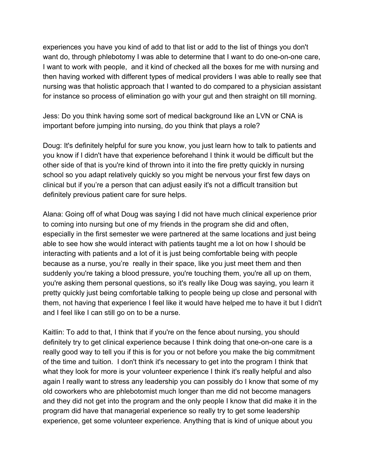experiences you have you kind of add to that list or add to the list of things you don't want do, through phlebotomy I was able to determine that I want to do one-on-one care, I want to work with people, and it kind of checked all the boxes for me with nursing and then having worked with different types of medical providers I was able to really see that nursing was that holistic approach that I wanted to do compared to a physician assistant for instance so process of elimination go with your gut and then straight on till morning.

Jess: Do you think having some sort of medical background like an LVN or CNA is important before jumping into nursing, do you think that plays a role?

Doug: It's definitely helpful for sure you know, you just learn how to talk to patients and you know if I didn't have that experience beforehand I think it would be difficult but the other side of that is you're kind of thrown into it into the fire pretty quickly in nursing school so you adapt relatively quickly so you might be nervous your first few days on clinical but if you're a person that can adjust easily it's not a difficult transition but definitely previous patient care for sure helps.

Alana: Going off of what Doug was saying I did not have much clinical experience prior to coming into nursing but one of my friends in the program she did and often, especially in the first semester we were partnered at the same locations and just being able to see how she would interact with patients taught me a lot on how I should be interacting with patients and a lot of it is just being comfortable being with people because as a nurse, you're really in their space, like you just meet them and then suddenly you're taking a blood pressure, you're touching them, you're all up on them, you're asking them personal questions, so it's really like Doug was saying, you learn it pretty quickly just being comfortable talking to people being up close and personal with them, not having that experience I feel like it would have helped me to have it but I didn't and I feel like I can still go on to be a nurse.

Kaitlin: To add to that, I think that if you're on the fence about nursing, you should definitely try to get clinical experience because I think doing that one-on-one care is a really good way to tell you if this is for you or not before you make the big commitment of the time and tuition. I don't think it's necessary to get into the program I think that what they look for more is your volunteer experience I think it's really helpful and also again I really want to stress any leadership you can possibly do I know that some of my old coworkers who are phlebotomist much longer than me did not become managers and they did not get into the program and the only people I know that did make it in the program did have that managerial experience so really try to get some leadership experience, get some volunteer experience. Anything that is kind of unique about you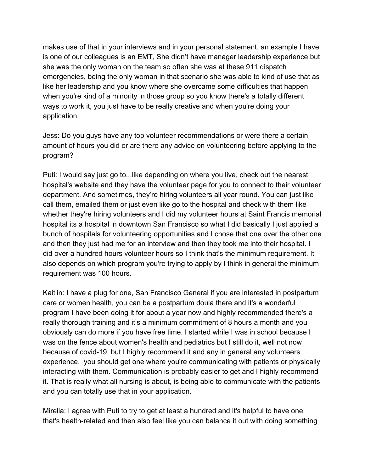makes use of that in your interviews and in your personal statement. an example I have is one of our colleagues is an EMT, She didn't have manager leadership experience but she was the only woman on the team so often she was at these 911 dispatch emergencies, being the only woman in that scenario she was able to kind of use that as like her leadership and you know where she overcame some difficulties that happen when you're kind of a minority in those group so you know there's a totally different ways to work it, you just have to be really creative and when you're doing your application.

Jess: Do you guys have any top volunteer recommendations or were there a certain amount of hours you did or are there any advice on volunteering before applying to the program?

Puti: I would say just go to...like depending on where you live, check out the nearest hospital's website and they have the volunteer page for you to connect to their volunteer department. And sometimes, they're hiring volunteers all year round. You can just like call them, emailed them or just even like go to the hospital and check with them like whether they're hiring volunteers and I did my volunteer hours at Saint Francis memorial hospital its a hospital in downtown San Francisco so what I did basically I just applied a bunch of hospitals for volunteering opportunities and I chose that one over the other one and then they just had me for an interview and then they took me into their hospital. I did over a hundred hours volunteer hours so I think that's the minimum requirement. It also depends on which program you're trying to apply by I think in general the minimum requirement was 100 hours.

Kaitlin: I have a plug for one, San Francisco General if you are interested in postpartum care or women health, you can be a postpartum doula there and it's a wonderful program I have been doing it for about a year now and highly recommended there's a really thorough training and it's a minimum commitment of 8 hours a month and you obviously can do more if you have free time. I started while I was in school because I was on the fence about women's health and pediatrics but I still do it, well not now because of covid-19, but I highly recommend it and any in general any volunteers experience, you should get one where you're communicating with patients or physically interacting with them. Communication is probably easier to get and I highly recommend it. That is really what all nursing is about, is being able to communicate with the patients and you can totally use that in your application.

Mirella: I agree with Puti to try to get at least a hundred and it's helpful to have one that's health-related and then also feel like you can balance it out with doing something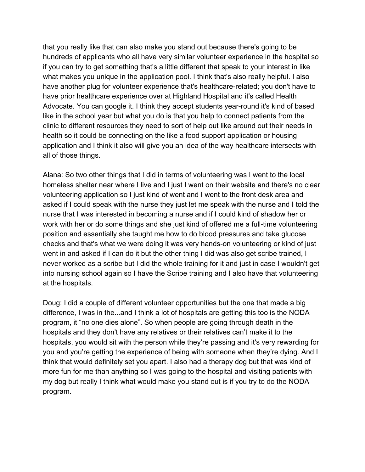that you really like that can also make you stand out because there's going to be hundreds of applicants who all have very similar volunteer experience in the hospital so if you can try to get something that's a little different that speak to your interest in like what makes you unique in the application pool. I think that's also really helpful. I also have another plug for volunteer experience that's healthcare-related; you don't have to have prior healthcare experience over at Highland Hospital and it's called Health Advocate. You can google it. I think they accept students year-round it's kind of based like in the school year but what you do is that you help to connect patients from the clinic to different resources they need to sort of help out like around out their needs in health so it could be connecting on the like a food support application or housing application and I think it also will give you an idea of the way healthcare intersects with all of those things.

Alana: So two other things that I did in terms of volunteering was I went to the local homeless shelter near where I live and I just I went on their website and there's no clear volunteering application so I just kind of went and I went to the front desk area and asked if I could speak with the nurse they just let me speak with the nurse and I told the nurse that I was interested in becoming a nurse and if I could kind of shadow her or work with her or do some things and she just kind of offered me a full-time volunteering position and essentially she taught me how to do blood pressures and take glucose checks and that's what we were doing it was very hands-on volunteering or kind of just went in and asked if I can do it but the other thing I did was also get scribe trained, I never worked as a scribe but I did the whole training for it and just in case I wouldn't get into nursing school again so I have the Scribe training and I also have that volunteering at the hospitals.

Doug: I did a couple of different volunteer opportunities but the one that made a big difference, I was in the...and I think a lot of hospitals are getting this too is the NODA program, it "no one dies alone". So when people are going through death in the hospitals and they don't have any relatives or their relatives can't make it to the hospitals, you would sit with the person while they're passing and it's very rewarding for you and you're getting the experience of being with someone when they're dying. And I think that would definitely set you apart. I also had a therapy dog but that was kind of more fun for me than anything so I was going to the hospital and visiting patients with my dog but really I think what would make you stand out is if you try to do the NODA program.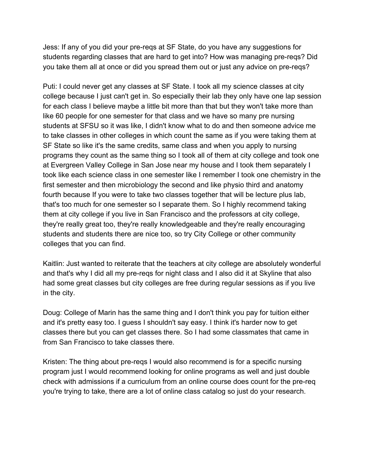Jess: If any of you did your pre-reqs at SF State, do you have any suggestions for students regarding classes that are hard to get into? How was managing pre-reqs? Did you take them all at once or did you spread them out or just any advice on pre-reqs?

Puti: I could never get any classes at SF State. I took all my science classes at city college because I just can't get in. So especially their lab they only have one lap session for each class I believe maybe a little bit more than that but they won't take more than like 60 people for one semester for that class and we have so many pre nursing students at SFSU so it was like, I didn't know what to do and then someone advice me to take classes in other colleges in which count the same as if you were taking them at SF State so like it's the same credits, same class and when you apply to nursing programs they count as the same thing so I took all of them at city college and took one at Evergreen Valley College in San Jose near my house and I took them separately I took like each science class in one semester like I remember I took one chemistry in the first semester and then microbiology the second and like physio third and anatomy fourth because If you were to take two classes together that will be lecture plus lab, that's too much for one semester so I separate them. So I highly recommend taking them at city college if you live in San Francisco and the professors at city college, they're really great too, they're really knowledgeable and they're really encouraging students and students there are nice too, so try City College or other community colleges that you can find.

Kaitlin: Just wanted to reiterate that the teachers at city college are absolutely wonderful and that's why I did all my pre-reqs for night class and I also did it at Skyline that also had some great classes but city colleges are free during regular sessions as if you live in the city.

Doug: College of Marin has the same thing and I don't think you pay for tuition either and it's pretty easy too. I guess I shouldn't say easy. I think it's harder now to get classes there but you can get classes there. So I had some classmates that came in from San Francisco to take classes there.

Kristen: The thing about pre-reqs I would also recommend is for a specific nursing program just I would recommend looking for online programs as well and just double check with admissions if a curriculum from an online course does count for the pre-req you're trying to take, there are a lot of online class catalog so just do your research.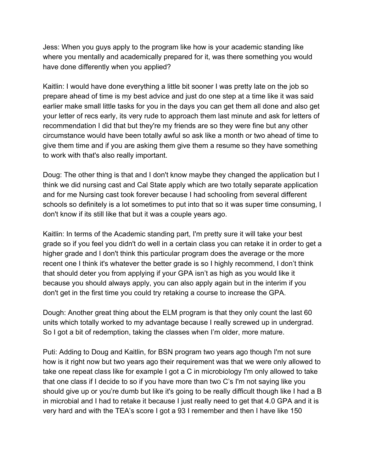Jess: When you guys apply to the program like how is your academic standing like where you mentally and academically prepared for it, was there something you would have done differently when you applied?

Kaitlin: I would have done everything a little bit sooner I was pretty late on the job so prepare ahead of time is my best advice and just do one step at a time like it was said earlier make small little tasks for you in the days you can get them all done and also get your letter of recs early, its very rude to approach them last minute and ask for letters of recommendation I did that but they're my friends are so they were fine but any other circumstance would have been totally awful so ask like a month or two ahead of time to give them time and if you are asking them give them a resume so they have something to work with that's also really important.

Doug: The other thing is that and I don't know maybe they changed the application but I think we did nursing cast and Cal State apply which are two totally separate application and for me Nursing cast took forever because I had schooling from several different schools so definitely is a lot sometimes to put into that so it was super time consuming, I don't know if its still like that but it was a couple years ago.

Kaitlin: In terms of the Academic standing part, I'm pretty sure it will take your best grade so if you feel you didn't do well in a certain class you can retake it in order to get a higher grade and I don't think this particular program does the average or the more recent one I think it's whatever the better grade is so I highly recommend, I don't think that should deter you from applying if your GPA isn't as high as you would like it because you should always apply, you can also apply again but in the interim if you don't get in the first time you could try retaking a course to increase the GPA.

Dough: Another great thing about the ELM program is that they only count the last 60 units which totally worked to my advantage because I really screwed up in undergrad. So I got a bit of redemption, taking the classes when I'm older, more mature.

Puti: Adding to Doug and Kaitlin, for BSN program two years ago though I'm not sure how is it right now but two years ago their requirement was that we were only allowed to take one repeat class like for example I got a C in microbiology I'm only allowed to take that one class if I decide to so if you have more than two C's I'm not saying like you should give up or you're dumb but like it's going to be really difficult though like I had a B in microbial and I had to retake it because I just really need to get that 4.0 GPA and it is very hard and with the TEA's score I got a 93 I remember and then I have like 150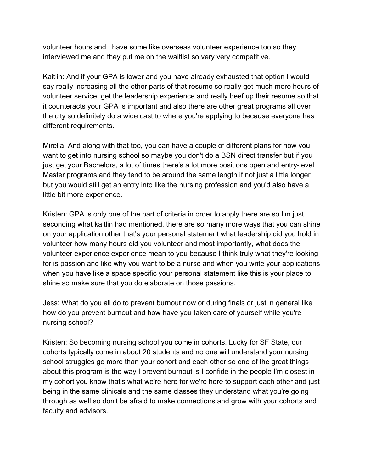volunteer hours and I have some like overseas volunteer experience too so they interviewed me and they put me on the waitlist so very very competitive.

Kaitlin: And if your GPA is lower and you have already exhausted that option I would say really increasing all the other parts of that resume so really get much more hours of volunteer service, get the leadership experience and really beef up their resume so that it counteracts your GPA is important and also there are other great programs all over the city so definitely do a wide cast to where you're applying to because everyone has different requirements.

Mirella: And along with that too, you can have a couple of different plans for how you want to get into nursing school so maybe you don't do a BSN direct transfer but if you just get your Bachelors, a lot of times there's a lot more positions open and entry-level Master programs and they tend to be around the same length if not just a little longer but you would still get an entry into like the nursing profession and you'd also have a little bit more experience.

Kristen: GPA is only one of the part of criteria in order to apply there are so I'm just seconding what kaitlin had mentioned, there are so many more ways that you can shine on your application other that's your personal statement what leadership did you hold in volunteer how many hours did you volunteer and most importantly, what does the volunteer experience experience mean to you because I think truly what they're looking for is passion and like why you want to be a nurse and when you write your applications when you have like a space specific your personal statement like this is your place to shine so make sure that you do elaborate on those passions.

Jess: What do you all do to prevent burnout now or during finals or just in general like how do you prevent burnout and how have you taken care of yourself while you're nursing school?

Kristen: So becoming nursing school you come in cohorts. Lucky for SF State, our cohorts typically come in about 20 students and no one will understand your nursing school struggles go more than your cohort and each other so one of the great things about this program is the way I prevent burnout is I confide in the people I'm closest in my cohort you know that's what we're here for we're here to support each other and just being in the same clinicals and the same classes they understand what you're going through as well so don't be afraid to make connections and grow with your cohorts and faculty and advisors.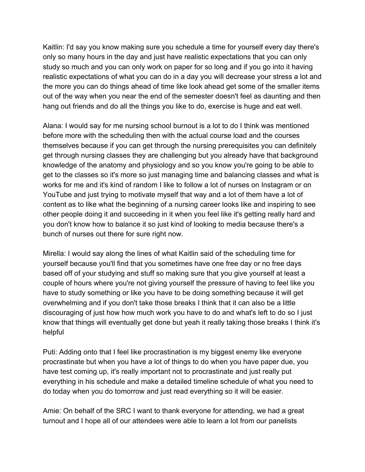Kaitlin: I'd say you know making sure you schedule a time for yourself every day there's only so many hours in the day and just have realistic expectations that you can only study so much and you can only work on paper for so long and if you go into it having realistic expectations of what you can do in a day you will decrease your stress a lot and the more you can do things ahead of time like look ahead get some of the smaller items out of the way when you near the end of the semester doesn't feel as daunting and then hang out friends and do all the things you like to do, exercise is huge and eat well.

Alana: I would say for me nursing school burnout is a lot to do I think was mentioned before more with the scheduling then with the actual course load and the courses themselves because if you can get through the nursing prerequisites you can definitely get through nursing classes they are challenging but you already have that background knowledge of the anatomy and physiology and so you know you're going to be able to get to the classes so it's more so just managing time and balancing classes and what is works for me and it's kind of random I like to follow a lot of nurses on Instagram or on YouTube and just trying to motivate myself that way and a lot of them have a lot of content as to like what the beginning of a nursing career looks like and inspiring to see other people doing it and succeeding in it when you feel like it's getting really hard and you don't know how to balance it so just kind of looking to media because there's a bunch of nurses out there for sure right now.

Mirella: I would say along the lines of what Kaitlin said of the scheduling time for yourself because you'll find that you sometimes have one free day or no free days based off of your studying and stuff so making sure that you give yourself at least a couple of hours where you're not giving yourself the pressure of having to feel like you have to study something or like you have to be doing something because it will get overwhelming and if you don't take those breaks I think that it can also be a little discouraging of just how how much work you have to do and what's left to do so I just know that things will eventually get done but yeah it really taking those breaks I think it's helpful

Puti: Adding onto that I feel like procrastination is my biggest enemy like everyone procrastinate but when you have a lot of things to do when you have paper due, you have test coming up, it's really important not to procrastinate and just really put everything in his schedule and make a detailed timeline schedule of what you need to do today when you do tomorrow and just read everything so it will be easier.

Amie: On behalf of the SRC I want to thank everyone for attending, we had a great turnout and I hope all of our attendees were able to learn a lot from our panelists